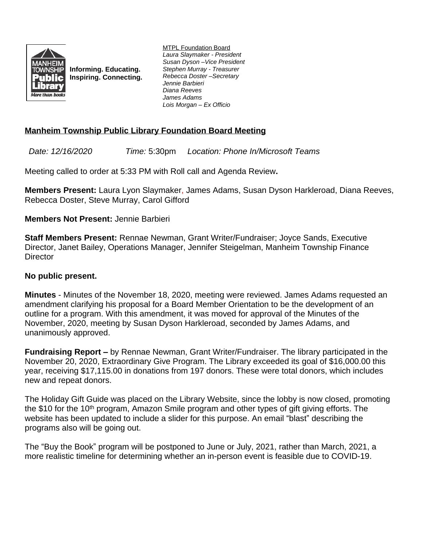

**Informing. Educating. Inspiring. Connecting.** MTPL Foundation Board *Laura Slaymaker - President Susan Dyson –Vice President Stephen Murray - Treasurer Rebecca Doster –Secretary Jennie Barbieri Diana Reeves James Adams Lois Morgan – Ex Officio*

# **Manheim Township Public Library Foundation Board Meeting**

*Date: 12/16/2020 Time:* 5:30pm *Location: Phone In/Microsoft Teams*

Meeting called to order at 5:33 PM with Roll call and Agenda Review**.**

**Members Present:** Laura Lyon Slaymaker, James Adams, Susan Dyson Harkleroad, Diana Reeves, Rebecca Doster, Steve Murray, Carol Gifford

## **Members Not Present:** Jennie Barbieri

**Staff Members Present:** Rennae Newman, Grant Writer/Fundraiser; Joyce Sands, Executive Director, Janet Bailey, Operations Manager, Jennifer Steigelman, Manheim Township Finance **Director** 

### **No public present.**

**Minutes** - Minutes of the November 18, 2020, meeting were reviewed. James Adams requested an amendment clarifying his proposal for a Board Member Orientation to be the development of an outline for a program. With this amendment, it was moved for approval of the Minutes of the November, 2020, meeting by Susan Dyson Harkleroad, seconded by James Adams, and unanimously approved.

**Fundraising Report –** by Rennae Newman, Grant Writer/Fundraiser. The library participated in the November 20, 2020, Extraordinary Give Program. The Library exceeded its goal of \$16,000.00 this year, receiving \$17,115.00 in donations from 197 donors. These were total donors, which includes new and repeat donors.

The Holiday Gift Guide was placed on the Library Website, since the lobby is now closed, promoting the \$10 for the 10<sup>th</sup> program, Amazon Smile program and other types of gift giving efforts. The website has been updated to include a slider for this purpose. An email "blast" describing the programs also will be going out.

The "Buy the Book" program will be postponed to June or July, 2021, rather than March, 2021, a more realistic timeline for determining whether an in-person event is feasible due to COVID-19.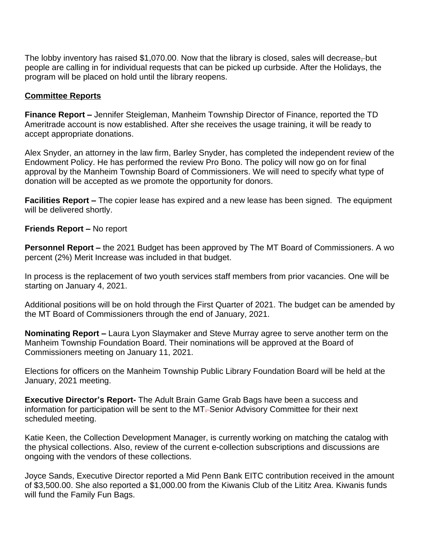The lobby inventory has raised \$1,070.00. Now that the library is closed, sales will decrease, but people are calling in for individual requests that can be picked up curbside. After the Holidays, the program will be placed on hold until the library reopens.

### **Committee Reports**

**Finance Report –** Jennifer Steigleman, Manheim Township Director of Finance, reported the TD Ameritrade account is now established. After she receives the usage training, it will be ready to accept appropriate donations.

Alex Snyder, an attorney in the law firm, Barley Snyder, has completed the independent review of the Endowment Policy. He has performed the review Pro Bono. The policy will now go on for final approval by the Manheim Township Board of Commissioners. We will need to specify what type of donation will be accepted as we promote the opportunity for donors.

**Facilities Report –** The copier lease has expired and a new lease has been signed. The equipment will be delivered shortly.

**Friends Report –** No report

**Personnel Report –** the 2021 Budget has been approved by The MT Board of Commissioners. A wo percent (2%) Merit Increase was included in that budget.

In process is the replacement of two youth services staff members from prior vacancies. One will be starting on January 4, 2021.

Additional positions will be on hold through the First Quarter of 2021. The budget can be amended by the MT Board of Commissioners through the end of January, 2021.

**Nominating Report –** Laura Lyon Slaymaker and Steve Murray agree to serve another term on the Manheim Township Foundation Board. Their nominations will be approved at the Board of Commissioners meeting on January 11, 2021.

Elections for officers on the Manheim Township Public Library Foundation Board will be held at the January, 2021 meeting.

**Executive Director's Report-** The Adult Brain Game Grab Bags have been a success and information for participation will be sent to the MT-Senior Advisory Committee for their next scheduled meeting.

Katie Keen, the Collection Development Manager, is currently working on matching the catalog with the physical collections. Also, review of the current e-collection subscriptions and discussions are ongoing with the vendors of these collections.

Joyce Sands, Executive Director reported a Mid Penn Bank EITC contribution received in the amount of \$3,500.00. She also reported a \$1,000.00 from the Kiwanis Club of the Lititz Area. Kiwanis funds will fund the Family Fun Bags.